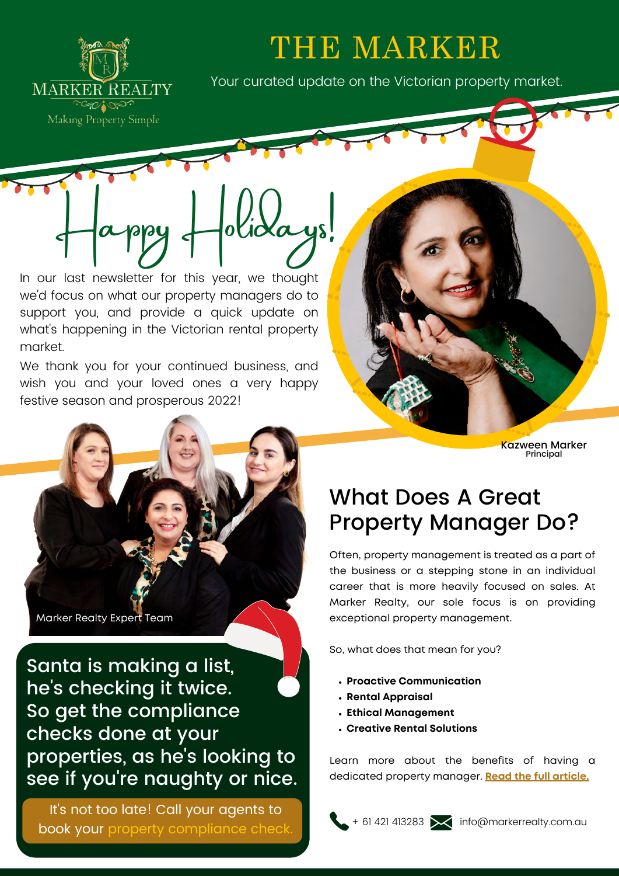

# THE MARKER

Your curated update on the Victorian property market.

In our last newsletter for this year, we thought we'd focus on what our property managers do to support you, and provide a quick update on what's happening in the Victorian rental property market.

Happy Holidays!

We thank you for your continued business, and wish you and your loved ones a very happy festive season and prosperous 2022!

Marker Realty Expert Team

Santa is making a list, he's checking it twice. So get the compliance checks done at your properties, as he's looking to see if you're naughty or nice.

It's not too late! Call your agents to book your property compliance check Kazween Marker Principal

## What Does A Great Property Manager Do?

Often, property management is treated as a part of the business or a stepping stone in an individual career that is more heavily focused on sales. At Marker Realty, our sole focus is on providing exceptional property management.

So, what does that mean for you?

- **Proactive Communication**
- **Rental Appraisal**
- **Ethical Management**
- **Creative Rental Solutions**

Learn more about the benefits of having a dedicated property manager. **[Read the full article.](https://markerrealty.com.au/what-does-a-great-property-manager-do/)**